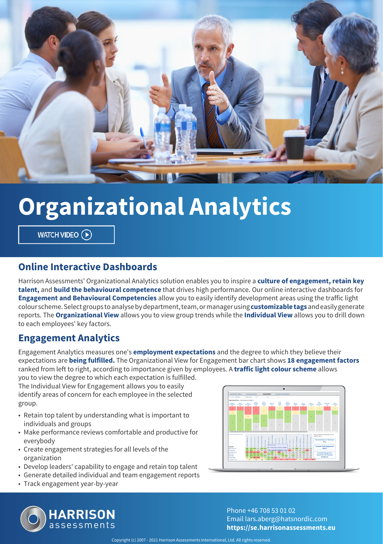

# **Organizational Analytics**

WATCH VIDEO (D)

### **Online Interactive Dashboards**

Harrison Assessments' Organizational Analytics solution enables you to inspire a **culture of engagement, retain key talent,** and **build the behavioural competence** that drives high performance. Our online interactive dashboards for **Engagement and Behavioural Competencies** allow you to easily identify development areas using the traffic light colour scheme. Select groups to analyse by department, team, or manager using **customizable tags** and easily generate reports. The **Organizational View** allows you to view group trends while the **Individual View** allows you to drill down to each employees' key factors.

### **Engagement Analytics**

Engagement Analytics measures one's **employment expectations** and the degree to which they believe their expectations are **being fulfilled.** The Organizational View for Engagement bar chart shows **18 engagement factors** ranked from left to right, according to importance given by employees. A **traffic light colour scheme** allows you to view the degree to which each expectation is fulfilled.

The Individual View for Engagement allows you to easily identify areas of concern for each employee in the selected group.

- Retain top talent by understanding what is important to individuals and groups
- Make performance reviews comfortable and productive for everybody
- Create engagement strategies for all levels of the organization
- Develop leaders' capability to engage and retain top talent
- Generate detailed individual and team engagement reports
- Track engagement year-by-year





Phone +46 708 53 01 02 Email lars.aberg@hatsnordic.com **https://se.harrisonassessments.eu**